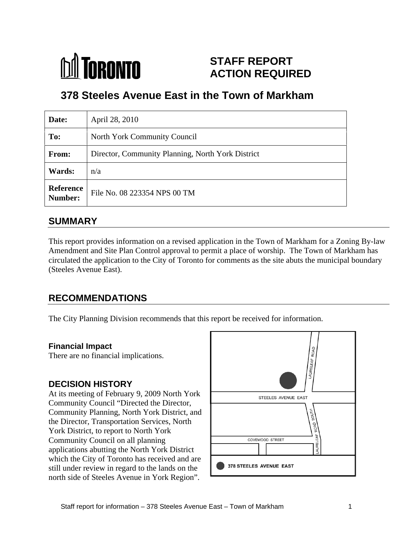

# **STAFF REPORT ACTION REQUIRED**

# **378 Steeles Avenue East in the Town of Markham**

| Date:                           | April 28, 2010                                    |
|---------------------------------|---------------------------------------------------|
| To:                             | North York Community Council                      |
| From:                           | Director, Community Planning, North York District |
| <b>Wards:</b> $\vert n/a \vert$ |                                                   |
|                                 | Reference<br>Number: File No. 08 223354 NPS 00 TM |

#### **SUMMARY**

This report provides information on a revised application in the Town of Markham for a Zoning By-law Amendment and Site Plan Control approval to permit a place of worship. The Town of Markham has circulated the application to the City of Toronto for comments as the site abuts the municipal boundary (Steeles Avenue East).

## **RECOMMENDATIONS**

The City Planning Division recommends that this report be received for information.

#### **Financial Impact**

There are no financial implications.

At its meeting of February 9, 2009 North York STEELES AVENUE EAST Community Council "Directed the Director, Community Planning, North York District, and the Director, Transportation Services, North York District, to report to North York Community Council on all planning COVEWOOD STREET applications abutting the North York District which the City of Toronto has received and are<br>still under review in recent to the lands on the  $\frac{1}{2}$  378 STEELES AVENUE EAST still under review in regard to the lands on the north side of Steeles Avenue in York Region".

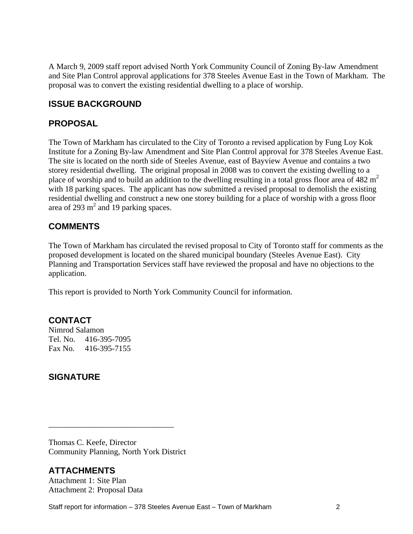A March 9, 2009 staff report advised North York Community Council of Zoning By-law Amendment and Site Plan Control approval applications for 378 Steeles Avenue East in the Town of Markham. The proposal was to convert the existing residential dwelling to a place of worship.

#### **ISSUE BACKGROUND**

#### **PROPOSAL**

The Town of Markham has circulated to the City of Toronto a revised application by Fung Loy Kok Institute for a Zoning By-law Amendment and Site Plan Control approval for 378 Steeles Avenue East. The site is located on the north side of Steeles Avenue, east of Bayview Avenue and contains a two storey residential dwelling. The original proposal in 2008 was to convert the existing dwelling to a place of worship and to build an addition to the dwelling resulting in a total gross floor area of  $482 \text{ m}^2$ with 18 parking spaces. The applicant has now submitted a revised proposal to demolish the existing residential dwelling and construct a new one storey building for a place of worship with a gross floor area of 293  $m<sup>2</sup>$  and 19 parking spaces. and 19 parking spaces.

#### **COMMENTS**

The Town of Markham has circulated the revised proposal to City of Toronto staff for comments as the proposed development is located on the shared municipal boundary (Steeles Avenue East).City Planning and Transportation Services staff have reviewed the proposal and have no objections to the application.

This report is provided to North York Community Council for information.

#### **CONTACT**

Nimrod Salamon Tel. No. 416-395-7095 Fax No. 416-395-7155

#### **SIGNATURE**

Thomas C. Keefe, Director Community Planning, North York District

## **ATTACHMENTS**

Attachment 1: Site Plan Attachment 2: Proposal Data

Staff report for information – 378 Steeles Avenue East – Town of Markham 2

 $\overline{\phantom{a}}$  , we can assume that the contract of the contract of the contract of the contract of the contract of the contract of the contract of the contract of the contract of the contract of the contract of the contract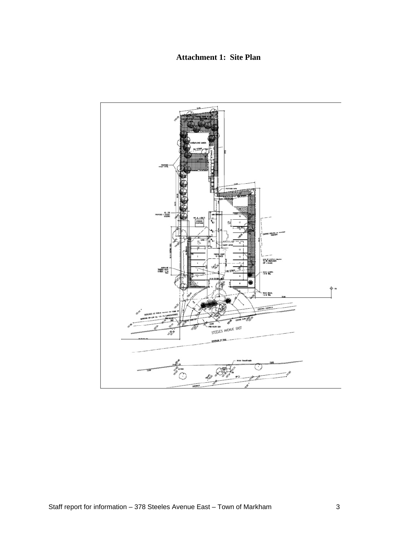#### **Attachment 1: Site Plan**